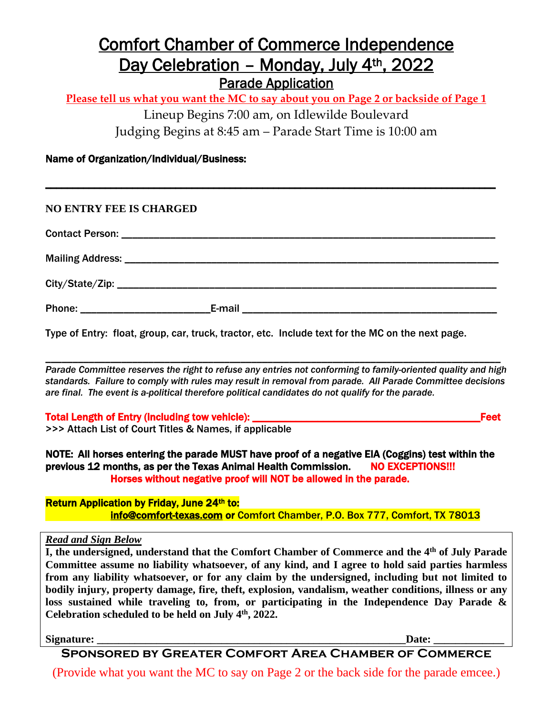## Comfort Chamber of Commerce Independence Day Celebration - Monday, July 4<sup>th</sup>, 2022 Parade Application

**Please tell us what you want the MC to say about you on Page 2 or backside of Page 1**

Lineup Begins 7:00 am, on Idlewilde Boulevard

\_\_\_\_\_\_\_\_\_\_\_\_\_\_\_\_\_\_\_\_\_\_\_\_\_\_\_\_\_\_\_\_\_\_\_\_\_\_\_\_\_\_\_\_\_\_\_\_\_\_\_\_\_\_\_\_\_\_\_\_\_\_\_\_\_\_\_\_\_\_\_\_\_\_\_\_\_\_\_\_\_\_\_

Judging Begins at 8:45 am – Parade Start Time is 10:00 am

## Name of Organization/Individual/Business:

| E-mail |
|--------|

Type of Entry: float, group, car, truck, tractor, etc. Include text for the MC on the next page.

\_\_\_\_\_\_\_\_\_\_\_\_\_\_\_\_\_\_\_\_\_\_\_\_\_\_\_\_\_\_\_\_\_\_\_\_\_\_\_\_\_\_\_\_\_\_\_\_\_\_\_\_\_\_\_\_\_\_\_\_\_\_\_\_\_\_\_\_\_\_\_\_\_\_\_\_\_\_\_\_\_\_\_\_ *Parade Committee reserves the right to refuse any entries not conforming to family-oriented quality and high standards. Failure to comply with rules may result in removal from parade. All Parade Committee decisions are final. The event is a-political therefore political candidates do not qualify for the parade.*

Total Length of Entry (including tow vehicle): \_\_\_\_\_\_\_\_\_\_\_\_\_\_\_\_\_\_\_\_\_\_\_\_\_\_\_\_\_\_\_\_\_\_\_\_\_\_\_\_\_\_Feet

>>> Attach List of Court Titles & Names, if applicable

NOTE: All horses entering the parade MUST have proof of a negative EIA (Coggins) test within the previous 12 months, as per the Texas Animal Health Commission. NO EXCEPTIONS!!! Horses without negative proof will NOT be allowed in the parade.

Return Application by Friday, June 24th to: [info@comfort-texas.com](mailto:info@comfort-texas.com) or Comfort Chamber, P.O. Box 777, Comfort, TX 78013

*Read and Sign Below*

**I, the undersigned, understand that the Comfort Chamber of Commerce and the 4th of July Parade Committee assume no liability whatsoever, of any kind, and I agree to hold said parties harmless from any liability whatsoever, or for any claim by the undersigned, including but not limited to bodily injury, property damage, fire, theft, explosion, vandalism, weather conditions, illness or any loss sustained while traveling to, from, or participating in the Independence Day Parade & Celebration scheduled to be held on July 4th , 2022.**

**Signature: \_\_\_\_\_\_\_\_\_\_\_\_\_\_\_\_\_\_\_\_\_\_\_\_\_\_\_\_\_\_\_\_\_\_\_\_\_\_\_\_\_\_\_\_\_\_\_\_\_\_\_\_\_\_\_\_\_Date: \_\_\_\_\_\_\_\_\_\_\_\_\_**

**Sponsored by Greater Comfort Area Chamber of Commerce**

(Provide what you want the MC to say on Page 2 or the back side for the parade emcee.)